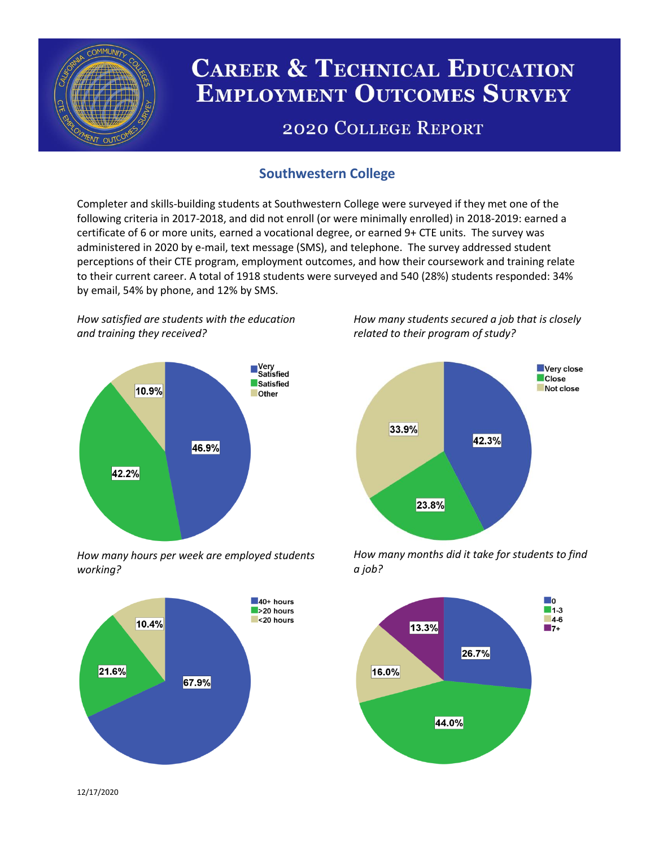

# **CAREER & TECHNICAL EDUCATION EMPLOYMENT OUTCOMES SURVEY**

## **2020 COLLEGE REPORT**

## **Southwestern College**

Completer and skills-building students at Southwestern College were surveyed if they met one of the following criteria in 2017-2018, and did not enroll (or were minimally enrolled) in 2018-2019: earned a certificate of 6 or more units, earned a vocational degree, or earned 9+ CTE units. The survey was administered in 2020 by e-mail, text message (SMS), and telephone. The survey addressed student perceptions of their CTE program, employment outcomes, and how their coursework and training relate to their current career. A total of 1918 students were surveyed and 540 (28%) students responded: 34% by email, 54% by phone, and 12% by SMS.

*How satisfied are students with the education and training they received?*



*How many hours per week are employed students working?*



*How many students secured a job that is closely related to their program of study?*



*How many months did it take for students to find a job?*



12/17/2020